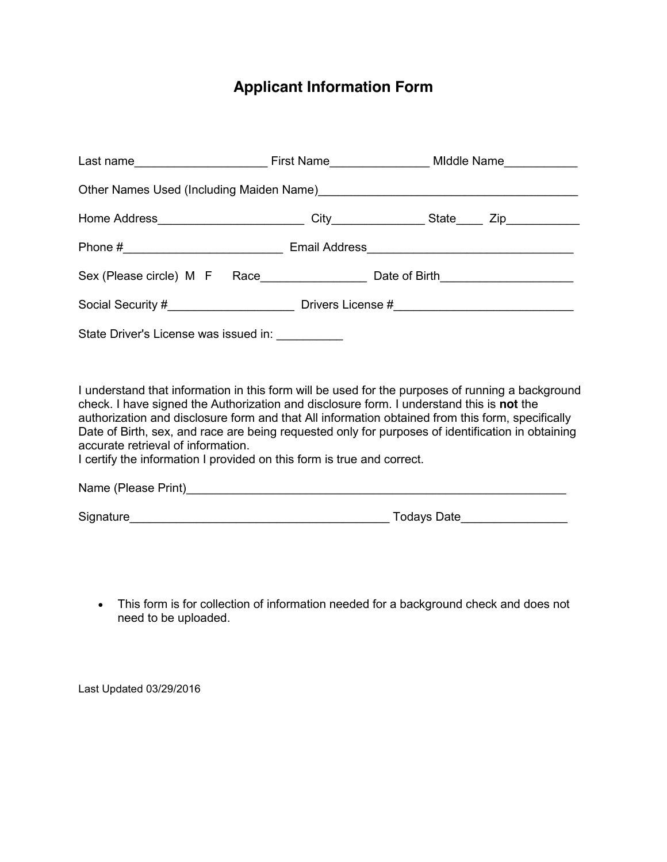# **Applicant Information Form**

| Other Names Used (Including Maiden Name)<br><u>Land Communication</u> |                                                                                                 |
|-----------------------------------------------------------------------|-------------------------------------------------------------------------------------------------|
|                                                                       |                                                                                                 |
|                                                                       |                                                                                                 |
|                                                                       | Sex (Please circle) M F Race_______________________ Date of Birth________________               |
|                                                                       |                                                                                                 |
| State Driver's License was issued in: __________                      |                                                                                                 |
|                                                                       |                                                                                                 |
|                                                                       | Lunderstand that information in this form will be used for the purposes of running a background |

I understand that information in this form will be used for the purposes of running a background check. I have signed the Authorization and disclosure form. I understand this is **not** the authorization and disclosure form and that All information obtained from this form, specifically Date of Birth, sex, and race are being requested only for purposes of identification in obtaining accurate retrieval of information.

I certify the information I provided on this form is true and correct.

| Name (Please Print) |             |
|---------------------|-------------|
|                     |             |
| Signature           | Todays Date |

• This form is for collection of information needed for a background check and does not need to be uploaded.

Last Updated 03/29/2016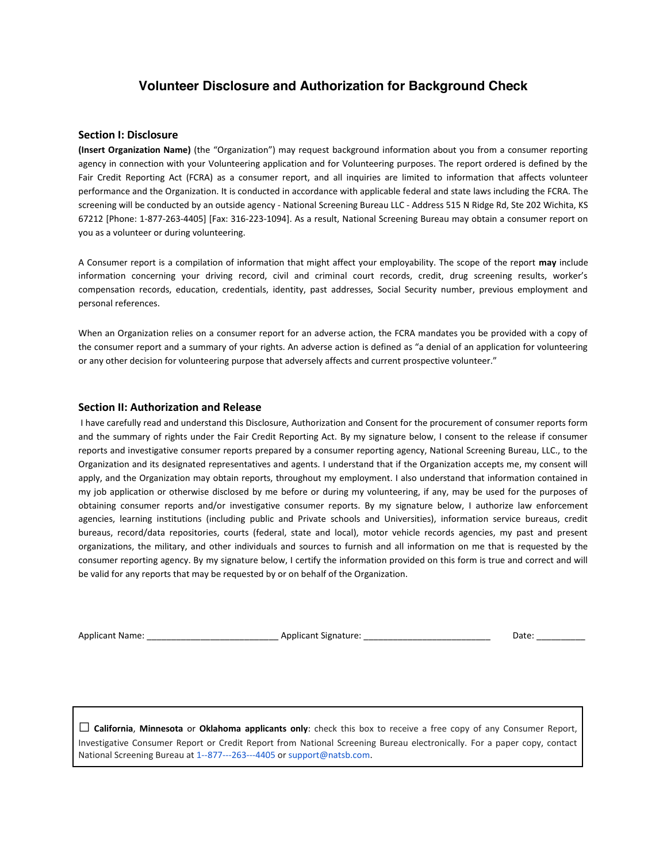# **Volunteer Disclosure and Authorization for Background Check**

#### **Section I: Disclosure**

**(Insert Organization Name)** (the "Organization") may request background information about you from a consumer reporting agency in connection with your Volunteering application and for Volunteering purposes. The report ordered is defined by the Fair Credit Reporting Act (FCRA) as a consumer report, and all inquiries are limited to information that affects volunteer performance and the Organization. It is conducted in accordance with applicable federal and state laws including the FCRA. The screening will be conducted by an outside agency - National Screening Bureau LLC - Address 515 N Ridge Rd, Ste 202 Wichita, KS 67212 [Phone: 1-877-263-4405] [Fax: 316-223-1094]. As a result, National Screening Bureau may obtain a consumer report on you as a volunteer or during volunteering.

A Consumer report is a compilation of information that might affect your employability. The scope of the report **may** include information concerning your driving record, civil and criminal court records, credit, drug screening results, worker's compensation records, education, credentials, identity, past addresses, Social Security number, previous employment and personal references.

When an Organization relies on a consumer report for an adverse action, the FCRA mandates you be provided with a copy of the consumer report and a summary of your rights. An adverse action is defined as "a denial of an application for volunteering or any other decision for volunteering purpose that adversely affects and current prospective volunteer."

#### **Section II: Authorization and Release**

I have carefully read and understand this Disclosure, Authorization and Consent for the procurement of consumer reports form and the summary of rights under the Fair Credit Reporting Act. By my signature below, I consent to the release if consumer reports and investigative consumer reports prepared by a consumer reporting agency, National Screening Bureau, LLC., to the Organization and its designated representatives and agents. I understand that if the Organization accepts me, my consent will apply, and the Organization may obtain reports, throughout my employment. I also understand that information contained in my job application or otherwise disclosed by me before or during my volunteering, if any, may be used for the purposes of obtaining consumer reports and/or investigative consumer reports. By my signature below, I authorize law enforcement agencies, learning institutions (including public and Private schools and Universities), information service bureaus, credit bureaus, record/data repositories, courts (federal, state and local), motor vehicle records agencies, my past and present organizations, the military, and other individuals and sources to furnish and all information on me that is requested by the consumer reporting agency. By my signature below, I certify the information provided on this form is true and correct and will be valid for any reports that may be requested by or on behalf of the Organization.

Applicant Name: \_\_\_\_\_\_\_\_\_\_\_\_\_\_\_\_\_\_\_\_\_\_\_\_\_\_\_ Applicant Signature: \_\_\_\_\_\_\_\_\_\_\_\_\_\_\_\_\_\_\_\_\_\_\_\_\_\_ Date: \_\_\_\_\_\_\_\_\_\_

□ **California**, **Minnesota** or **Oklahoma applicants only**: check this box to receive a free copy of any Consumer Report, Investigative Consumer Report or Credit Report from National Screening Bureau electronically. For a paper copy, contact National Screening Bureau at 1--877---263---4405 or support@natsb.com.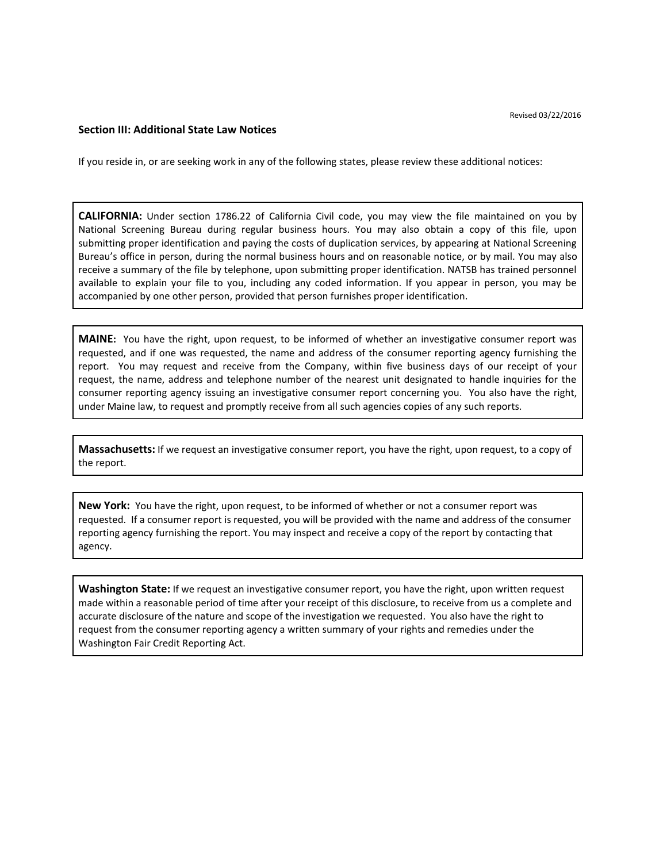#### **Section III: Additional State Law Notices**

If you reside in, or are seeking work in any of the following states, please review these additional notices:

**CALIFORNIA:** Under section 1786.22 of California Civil code, you may view the file maintained on you by National Screening Bureau during regular business hours. You may also obtain a copy of this file, upon submitting proper identification and paying the costs of duplication services, by appearing at National Screening Bureau's office in person, during the normal business hours and on reasonable notice, or by mail. You may also receive a summary of the file by telephone, upon submitting proper identification. NATSB has trained personnel available to explain your file to you, including any coded information. If you appear in person, you may be accompanied by one other person, provided that person furnishes proper identification.

**MAINE:** You have the right, upon request, to be informed of whether an investigative consumer report was requested, and if one was requested, the name and address of the consumer reporting agency furnishing the report. You may request and receive from the Company, within five business days of our receipt of your request, the name, address and telephone number of the nearest unit designated to handle inquiries for the consumer reporting agency issuing an investigative consumer report concerning you. You also have the right, under Maine law, to request and promptly receive from all such agencies copies of any such reports.

**Massachusetts:** If we request an investigative consumer report, you have the right, upon request, to a copy of the report.

**New York:** You have the right, upon request, to be informed of whether or not a consumer report was requested. If a consumer report is requested, you will be provided with the name and address of the consumer reporting agency furnishing the report. You may inspect and receive a copy of the report by contacting that agency.

**Washington State:** If we request an investigative consumer report, you have the right, upon written request made within a reasonable period of time after your receipt of this disclosure, to receive from us a complete and accurate disclosure of the nature and scope of the investigation we requested. You also have the right to request from the consumer reporting agency a written summary of your rights and remedies under the Washington Fair Credit Reporting Act.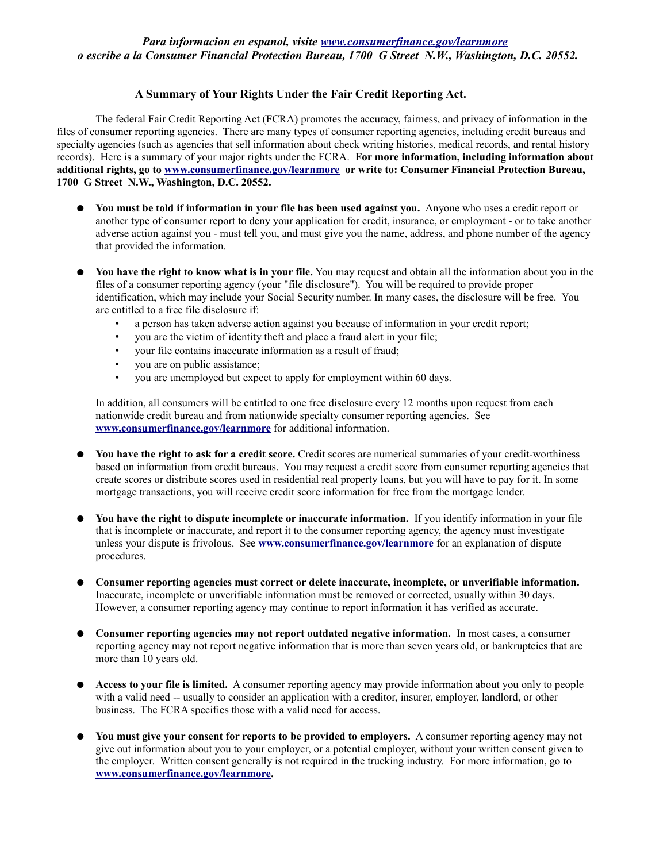## *Para informacion en espanol, visite www.consumerfinance.gov/learnmore o escribe a la Consumer Financial Protection Bureau, 1700 G Street N.W., Washington, D.C. 20552.*

### **A Summary of Your Rights Under the Fair Credit Reporting Act.**

The federal Fair Credit Reporting Act (FCRA) promotes the accuracy, fairness, and privacy of information in the files of consumer reporting agencies. There are many types of consumer reporting agencies, including credit bureaus and specialty agencies (such as agencies that sell information about check writing histories, medical records, and rental history records). Here is a summary of your major rights under the FCRA. **For more information, including information about additional rights, go to www.consumerfinance.gov/learnmore or write to: Consumer Financial Protection Bureau, 1700 G Street N.W., Washington, D.C. 20552.**

- You must be told if information in your file has been used against you. Anyone who uses a credit report or another type of consumer report to deny your application for credit, insurance, or employment - or to take another adverse action against you - must tell you, and must give you the name, address, and phone number of the agency that provided the information.
- You have the right to know what is in your file. You may request and obtain all the information about you in the files of a consumer reporting agency (your "file disclosure"). You will be required to provide proper identification, which may include your Social Security number. In many cases, the disclosure will be free. You are entitled to a free file disclosure if:
	- a person has taken adverse action against you because of information in your credit report;
	- you are the victim of identity theft and place a fraud alert in your file;
	- your file contains inaccurate information as a result of fraud;
	- you are on public assistance;
	- you are unemployed but expect to apply for employment within 60 days.

In addition, all consumers will be entitled to one free disclosure every 12 months upon request from each nationwide credit bureau and from nationwide specialty consumer reporting agencies. See **www.consumerfinance.gov/learnmore** for additional information.

- You have the right to ask for a credit score. Credit scores are numerical summaries of your credit-worthiness based on information from credit bureaus. You may request a credit score from consumer reporting agencies that create scores or distribute scores used in residential real property loans, but you will have to pay for it. In some mortgage transactions, you will receive credit score information for free from the mortgage lender.
- You have the right to dispute incomplete or inaccurate information. If you identify information in your file that is incomplete or inaccurate, and report it to the consumer reporting agency, the agency must investigate unless your dispute is frivolous. See **www.consumerfinance.gov/learnmore** for an explanation of dispute procedures.
- **Consumer reporting agencies must correct or delete inaccurate, incomplete, or unverifiable information.** Inaccurate, incomplete or unverifiable information must be removed or corrected, usually within 30 days. However, a consumer reporting agency may continue to report information it has verified as accurate.
- **Consumer reporting agencies may not report outdated negative information.** In most cases, a consumer reporting agency may not report negative information that is more than seven years old, or bankruptcies that are more than 10 years old.
- Access to your file is limited. A consumer reporting agency may provide information about you only to people with a valid need -- usually to consider an application with a creditor, insurer, employer, landlord, or other business. The FCRA specifies those with a valid need for access.
- You must give your consent for reports to be provided to employers. A consumer reporting agency may not give out information about you to your employer, or a potential employer, without your written consent given to the employer. Written consent generally is not required in the trucking industry. For more information, go to **www.consumerfinance.gov/learnmore.**